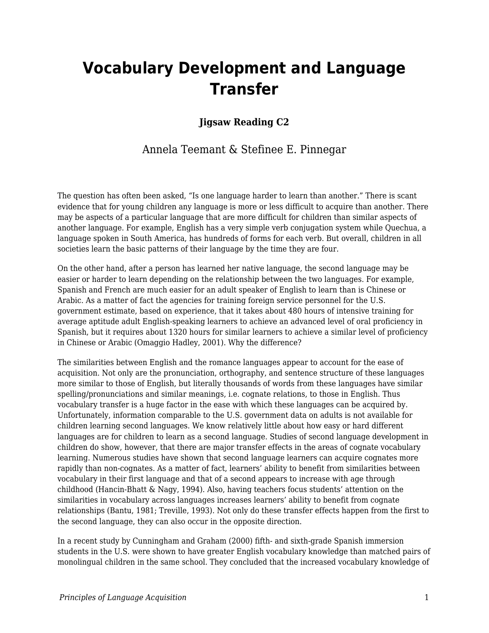# **Vocabulary Development and Language Transfer**

### **Jigsaw Reading C2**

## Annela Teemant & Stefinee E. Pinnegar

The question has often been asked, "Is one language harder to learn than another." There is scant evidence that for young children any language is more or less difficult to acquire than another. There may be aspects of a particular language that are more difficult for children than similar aspects of another language. For example, English has a very simple verb conjugation system while Quechua, a language spoken in South America, has hundreds of forms for each verb. But overall, children in all societies learn the basic patterns of their language by the time they are four.

On the other hand, after a person has learned her native language, the second language may be easier or harder to learn depending on the relationship between the two languages. For example, Spanish and French are much easier for an adult speaker of English to learn than is Chinese or Arabic. As a matter of fact the agencies for training foreign service personnel for the U.S. government estimate, based on experience, that it takes about 480 hours of intensive training for average aptitude adult English-speaking learners to achieve an advanced level of oral proficiency in Spanish, but it requires about 1320 hours for similar learners to achieve a similar level of proficiency in Chinese or Arabic (Omaggio Hadley, 2001). Why the difference?

The similarities between English and the romance languages appear to account for the ease of acquisition. Not only are the pronunciation, orthography, and sentence structure of these languages more similar to those of English, but literally thousands of words from these languages have similar spelling/pronunciations and similar meanings, i.e. cognate relations, to those in English. Thus vocabulary transfer is a huge factor in the ease with which these languages can be acquired by. Unfortunately, information comparable to the U.S. government data on adults is not available for children learning second languages. We know relatively little about how easy or hard different languages are for children to learn as a second language. Studies of second language development in children do show, however, that there are major transfer effects in the areas of cognate vocabulary learning. Numerous studies have shown that second language learners can acquire cognates more rapidly than non-cognates. As a matter of fact, learners' ability to benefit from similarities between vocabulary in their first language and that of a second appears to increase with age through childhood (Hancin-Bhatt & Nagy, 1994). Also, having teachers focus students' attention on the similarities in vocabulary across languages increases learners' ability to benefit from cognate relationships (Bantu, 1981; Treville, 1993). Not only do these transfer effects happen from the first to the second language, they can also occur in the opposite direction.

In a recent study by Cunningham and Graham (2000) fifth- and sixth-grade Spanish immersion students in the U.S. were shown to have greater English vocabulary knowledge than matched pairs of monolingual children in the same school. They concluded that the increased vocabulary knowledge of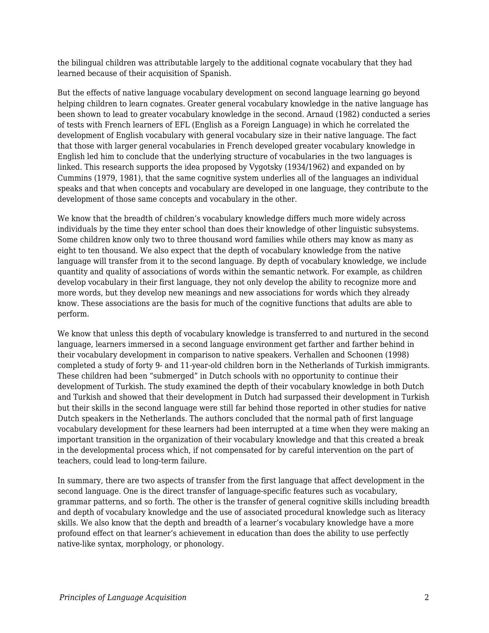the bilingual children was attributable largely to the additional cognate vocabulary that they had learned because of their acquisition of Spanish.

But the effects of native language vocabulary development on second language learning go beyond helping children to learn cognates. Greater general vocabulary knowledge in the native language has been shown to lead to greater vocabulary knowledge in the second. Arnaud (1982) conducted a series of tests with French learners of EFL (English as a Foreign Language) in which he correlated the development of English vocabulary with general vocabulary size in their native language. The fact that those with larger general vocabularies in French developed greater vocabulary knowledge in English led him to conclude that the underlying structure of vocabularies in the two languages is linked. This research supports the idea proposed by Vygotsky (1934/1962) and expanded on by Cummins (1979, 1981), that the same cognitive system underlies all of the languages an individual speaks and that when concepts and vocabulary are developed in one language, they contribute to the development of those same concepts and vocabulary in the other.

We know that the breadth of children's vocabulary knowledge differs much more widely across individuals by the time they enter school than does their knowledge of other linguistic subsystems. Some children know only two to three thousand word families while others may know as many as eight to ten thousand. We also expect that the depth of vocabulary knowledge from the native language will transfer from it to the second language. By depth of vocabulary knowledge, we include quantity and quality of associations of words within the semantic network. For example, as children develop vocabulary in their first language, they not only develop the ability to recognize more and more words, but they develop new meanings and new associations for words which they already know. These associations are the basis for much of the cognitive functions that adults are able to perform.

We know that unless this depth of vocabulary knowledge is transferred to and nurtured in the second language, learners immersed in a second language environment get farther and farther behind in their vocabulary development in comparison to native speakers. Verhallen and Schoonen (1998) completed a study of forty 9- and 11-year-old children born in the Netherlands of Turkish immigrants. These children had been "submerged" in Dutch schools with no opportunity to continue their development of Turkish. The study examined the depth of their vocabulary knowledge in both Dutch and Turkish and showed that their development in Dutch had surpassed their development in Turkish but their skills in the second language were still far behind those reported in other studies for native Dutch speakers in the Netherlands. The authors concluded that the normal path of first language vocabulary development for these learners had been interrupted at a time when they were making an important transition in the organization of their vocabulary knowledge and that this created a break in the developmental process which, if not compensated for by careful intervention on the part of teachers, could lead to long-term failure.

In summary, there are two aspects of transfer from the first language that affect development in the second language. One is the direct transfer of language-specific features such as vocabulary, grammar patterns, and so forth. The other is the transfer of general cognitive skills including breadth and depth of vocabulary knowledge and the use of associated procedural knowledge such as literacy skills. We also know that the depth and breadth of a learner's vocabulary knowledge have a more profound effect on that learner's achievement in education than does the ability to use perfectly native-like syntax, morphology, or phonology.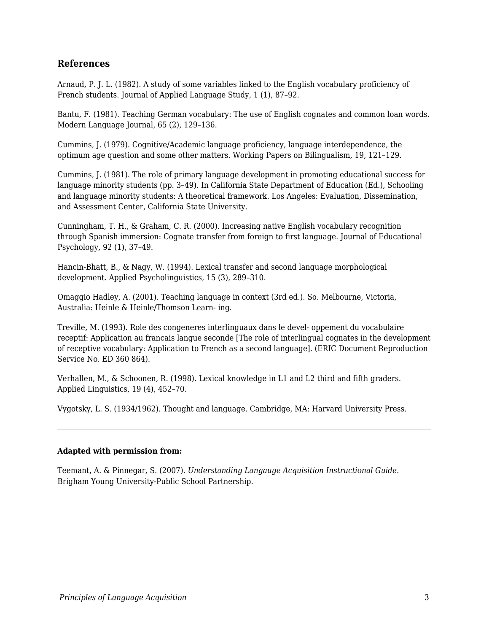#### **References**

Arnaud, P. J. L. (1982). A study of some variables linked to the English vocabulary proficiency of French students. Journal of Applied Language Study, 1 (1), 87–92.

Bantu, F. (1981). Teaching German vocabulary: The use of English cognates and common loan words. Modern Language Journal, 65 (2), 129–136.

Cummins, J. (1979). Cognitive/Academic language proficiency, language interdependence, the optimum age question and some other matters. Working Papers on Bilingualism, 19, 121–129.

Cummins, J. (1981). The role of primary language development in promoting educational success for language minority students (pp. 3–49). In California State Department of Education (Ed.), Schooling and language minority students: A theoretical framework. Los Angeles: Evaluation, Dissemination, and Assessment Center, California State University.

Cunningham, T. H., & Graham, C. R. (2000). Increasing native English vocabulary recognition through Spanish immersion: Cognate transfer from foreign to first language. Journal of Educational Psychology, 92 (1), 37–49.

Hancin-Bhatt, B., & Nagy, W. (1994). Lexical transfer and second language morphological development. Applied Psycholinguistics, 15 (3), 289–310.

Omaggio Hadley, A. (2001). Teaching language in context (3rd ed.). So. Melbourne, Victoria, Australia: Heinle & Heinle/Thomson Learn- ing.

Treville, M. (1993). Role des congeneres interlinguaux dans le devel- oppement du vocabulaire receptif: Application au francais langue seconde [The role of interlingual cognates in the development of receptive vocabulary: Application to French as a second language]. (ERIC Document Reproduction Service No. ED 360 864).

Verhallen, M., & Schoonen, R. (1998). Lexical knowledge in L1 and L2 third and fifth graders. Applied Linguistics, 19 (4), 452–70.

Vygotsky, L. S. (1934/1962). Thought and language. Cambridge, MA: Harvard University Press.

#### **Adapted with permission from:**

Teemant, A. & Pinnegar, S. (2007). *Understanding Langauge Acquisition Instructional Guide.* Brigham Young University-Public School Partnership.